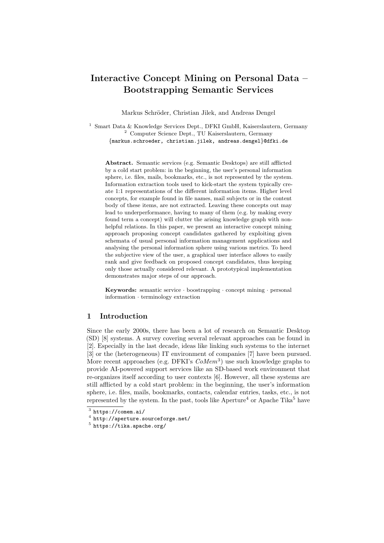# Interactive Concept Mining on Personal Data – Bootstrapping Semantic Services

Markus Schröder, Christian Jilek, and Andreas Dengel

<sup>1</sup> Smart Data & Knowledge Services Dept., DFKI GmbH, Kaiserslautern, Germany <sup>2</sup> Computer Science Dept., TU Kaiserslautern, Germany {markus.schroeder, christian.jilek, andreas.dengel}@dfki.de

Abstract. Semantic services (e.g. Semantic Desktops) are still afflicted by a cold start problem: in the beginning, the user's personal information sphere, i.e. files, mails, bookmarks, etc., is not represented by the system. Information extraction tools used to kick-start the system typically create 1:1 representations of the different information items. Higher level concepts, for example found in file names, mail subjects or in the content body of these items, are not extracted. Leaving these concepts out may lead to underperformance, having to many of them (e.g. by making every found term a concept) will clutter the arising knowledge graph with nonhelpful relations. In this paper, we present an interactive concept mining approach proposing concept candidates gathered by exploiting given schemata of usual personal information management applications and analysing the personal information sphere using various metrics. To heed the subjective view of the user, a graphical user interface allows to easily rank and give feedback on proposed concept candidates, thus keeping only those actually considered relevant. A prototypical implementation demonstrates major steps of our approach.

**Keywords:** semantic service  $\cdot$  boostrapping  $\cdot$  concept mining  $\cdot$  personal information · terminology extraction

## 1 Introduction

Since the early 2000s, there has been a lot of research on Semantic Desktop (SD) [\[8\]](#page-4-0) systems. A survey covering several relevant approaches can be found in [\[2\]](#page-4-1). Especially in the last decade, ideas like linking such systems to the internet [\[3\]](#page-4-2) or the (heterogeneous) IT environment of companies [\[7\]](#page-4-3) have been pursued. More recent approaches (e.g. DFKI's  $CoMem^3$  $CoMem^3$ ) use such knowledge graphs to provide AI-powered support services like an SD-based work environment that re-organizes itself according to user contexts [\[6\]](#page-4-4). However, all these systems are still afflicted by a cold start problem: in the beginning, the user's information sphere, i.e. files, mails, bookmarks, contacts, calendar entries, tasks, etc., is not represented by the system. In the past, tools like  $A$  perture<sup>[4](#page-0-1)</sup> or  $A$  pache Tika<sup>[5](#page-0-2)</sup> have

<span id="page-0-0"></span> $3$  <https://comem.ai/>

<span id="page-0-1"></span> $^4$  <http://aperture.sourceforge.net/>

<span id="page-0-2"></span> $^5$  <https://tika.apache.org/>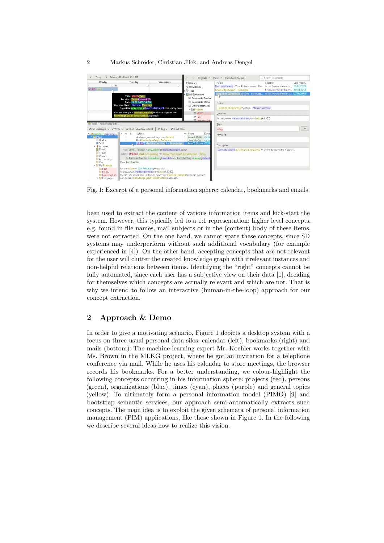## 2 Markus Schröder, Christian Jilek, and Andreas Dengel

<span id="page-1-0"></span>

Fig. 1: Excerpt of a personal information sphere: calendar, bookmarks and emails.

been used to extract the content of various information items and kick-start the system. However, this typically led to a 1:1 representation: higher level concepts, e.g. found in file names, mail subjects or in the (content) body of these items, were not extracted. On the one hand, we cannot spare these concepts, since SD systems may underperform without such additional vocabulary (for example experienced in [\[4\]](#page-4-5)). On the other hand, accepting concepts that are not relevant for the user will clutter the created knowledge graph with irrelevant instances and non-helpful relations between items. Identifying the "right" concepts cannot be fully automated, since each user has a subjective view on their data [\[1\]](#page-4-6), deciding for themselves which concepts are actually relevant and which are not. That is why we intend to follow an interactive (human-in-the-loop) approach for our concept extraction.

# 2 Approach & Demo

In order to give a motivating scenario, Figure [1](#page-1-0) depicts a desktop system with a focus on three usual personal data silos: calendar (left), bookmarks (right) and mails (bottom): The machine learning expert Mr. Koehler works together with Ms. Brown in the MLKG project, where he got an invitation for a telephone conference via mail. While he uses his calendar to store meetings, the browser records his bookmarks. For a better understanding, we colour-highlight the following concepts occurring in his information sphere: projects (red), persons (green), organizations (blue), times (cyan), places (purple) and general topics (yellow). To ultimately form a personal information model (PIMO) [\[9\]](#page-4-7) and bootstrap semantic services, our approach semi-automatically extracts such concepts. The main idea is to exploit the given schemata of personal information management (PIM) applications, like those shown in Figure [1.](#page-1-0) In the following we describe several ideas how to realize this vision.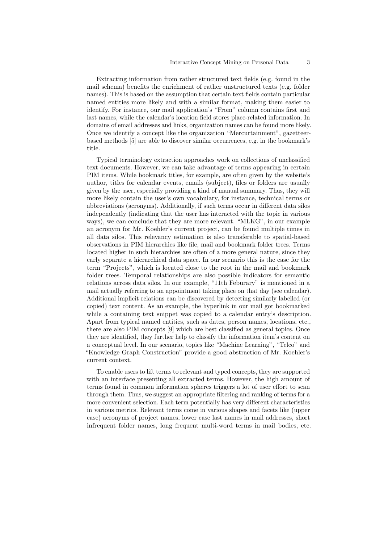Extracting information from rather structured text fields (e.g. found in the mail schema) benefits the enrichment of rather unstructured texts (e.g. folder names). This is based on the assumption that certain text fields contain particular named entities more likely and with a similar format, making them easier to identify. For instance, our mail application's "From" column contains first and last names, while the calendar's location field stores place-related information. In domains of email addresses and links, organization names can be found more likely. Once we identify a concept like the organization "Mercurtainment", gazetteerbased methods [\[5\]](#page-4-8) are able to discover similar occurrences, e.g. in the bookmark's title.

Typical terminology extraction approaches work on collections of unclassified text documents. However, we can take advantage of terms appearing in certain PIM items. While bookmark titles, for example, are often given by the website's author, titles for calendar events, emails (subject), files or folders are usually given by the user, especially providing a kind of manual summary. Thus, they will more likely contain the user's own vocabulary, for instance, technical terms or abbreviations (acronyms). Additionally, if such terms occur in different data silos independently (indicating that the user has interacted with the topic in various ways), we can conclude that they are more relevant. "MLKG", in our example an acronym for Mr. Koehler's current project, can be found multiple times in all data silos. This relevancy estimation is also transferable to spatial-based observations in PIM hierarchies like file, mail and bookmark folder trees. Terms located higher in such hierarchies are often of a more general nature, since they early separate a hierarchical data space. In our scenario this is the case for the term "Projects", which is located close to the root in the mail and bookmark folder trees. Temporal relationships are also possible indicators for semantic relations across data silos. In our example, "11th Feburary" is mentioned in a mail actually referring to an appointment taking place on that day (see calendar). Additional implicit relations can be discovered by detecting similarly labelled (or copied) text content. As an example, the hyperlink in our mail got bookmarked while a containing text snippet was copied to a calendar entry's description. Apart from typical named entities, such as dates, person names, locations, etc., there are also PIM concepts [\[9\]](#page-4-7) which are best classified as general topics. Once they are identified, they further help to classify the information item's content on a conceptual level. In our scenario, topics like "Machine Learning", "Telco" and "Knowledge Graph Construction" provide a good abstraction of Mr. Koehler's current context.

To enable users to lift terms to relevant and typed concepts, they are supported with an interface presenting all extracted terms. However, the high amount of terms found in common information spheres triggers a lot of user effort to scan through them. Thus, we suggest an appropriate filtering and ranking of terms for a more convenient selection. Each term potentially has very different characteristics in various metrics. Relevant terms come in various shapes and facets like (upper case) acronyms of project names, lower case last names in mail addresses, short infrequent folder names, long frequent multi-word terms in mail bodies, etc.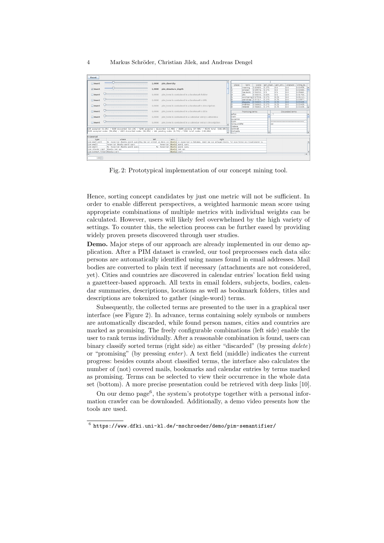#### 4 Markus Schröder, Christian Jilek, and Andreas Dengel

<span id="page-3-0"></span>

| Reset                                                                                                                                                                                                                                                                                            |       |                                     |                                                                                                                                                                              |                                                   |                                                         |          |                                               |                                   |                                |            |            |                   |                                        |                      |                     |
|--------------------------------------------------------------------------------------------------------------------------------------------------------------------------------------------------------------------------------------------------------------------------------------------------|-------|-------------------------------------|------------------------------------------------------------------------------------------------------------------------------------------------------------------------------|---------------------------------------------------|---------------------------------------------------------|----------|-----------------------------------------------|-----------------------------------|--------------------------------|------------|------------|-------------------|----------------------------------------|----------------------|---------------------|
| Invert                                                                                                                                                                                                                                                                                           |       | 1,0000                              | pim diversity                                                                                                                                                                |                                                   |                                                         | <b>A</b> | place                                         | term                              | score                          |            |            |                   | pim diver -pim stru -stopwor string le |                      |                     |
| v Invert                                                                                                                                                                                                                                                                                         |       | 1,0000                              | pim structure depth                                                                                                                                                          |                                                   |                                                         |          |                                               | meeting<br>amazon                 | 0.60685<br>0.59976 0.375       | 0.375      | 0.0<br>0.0 |                   | 0.0<br>0.0                             | 0.03409.<br>0.02840. |                     |
| Invert                                                                                                                                                                                                                                                                                           |       | 0.0000                              | pim term is contained in a bookmark folder                                                                                                                                   |                                                   |                                                         |          | Deutschl.<br>dfki<br>carsharing 0.57934 0.375 | .0.581530.5<br>0.58033 0.625      |                                | 0.5<br>0.5 | 0.25       | 0.0<br>0.0<br>0.0 | 0.05681<br>0.01704<br>0.05113          |                      |                     |
| Invert                                                                                                                                                                                                                                                                                           |       | 0,0000                              |                                                                                                                                                                              | pim term is contained in a bookmark's URL         |                                                         |          |                                               | workshop 0.57317 0.375<br>dbpedia | 0.56863 0.375                  |            |            | 0.25<br>0.25      | 0.0<br>0.0                             | 0.03977<br>0.03409.  |                     |
| Invert                                                                                                                                                                                                                                                                                           |       | 0,0000                              |                                                                                                                                                                              | pim term is contained in a bookmark's description |                                                         |          |                                               | andreas<br>hetated                | 0.56963 0.375<br>0.56963 0.375 |            |            | 0.25<br>0.25      | 0.0<br>0.0                             | 0.03409.<br>0.03409  |                     |
| Invert                                                                                                                                                                                                                                                                                           |       | 0,0000                              | pim term is contained in a bookmark's title                                                                                                                                  |                                                   |                                                         |          | lerfan                                        | Promising terms                   |                                |            | A.7        |                   | Discarded terms                        |                      |                     |
| Invert                                                                                                                                                                                                                                                                                           |       | 0,0000                              | pim term is contained in a calendar entry's attendee                                                                                                                         |                                                   |                                                         |          | <b>Imark</b><br>susanne                       |                                   |                                |            |            |                   |                                        |                      |                     |
| Invert                                                                                                                                                                                                                                                                                           |       | 0.0000                              |                                                                                                                                                                              |                                                   | pim term is contained in a calendar entry's description |          |                                               | Schaumloffel                      |                                |            | i w i      |                   |                                        |                      |                     |
| Helene<br>139 accepted (0.33%) / 5109 discarded (12.12%) / 5248 accepted + discarded (12.45%) / 36895 pending (87.55%) / 42143 total (100.00%) +<br>Schmidt<br>3105 accepted nodes (58,65%) / 4815 discarded nodes (90,95%) / 461 pending nodes (8,71%) / 5294 total nodes (100,00%)<br>Michaela |       |                                     |                                                                                                                                                                              |                                                   |                                                         |          |                                               |                                   |                                |            |            |                   |                                        |                      |                     |
| 5 covered                                                                                                                                                                                                                                                                                        |       |                                     |                                                                                                                                                                              |                                                   |                                                         |          |                                               |                                   |                                |            |            |                   |                                        |                      |                     |
| type                                                                                                                                                                                                                                                                                             | where | left                                | right<br>ann.                                                                                                                                                                |                                                   |                                                         |          |                                               |                                   |                                |            |            |                   |                                        |                      |                     |
| (pin.email.part)                                                                                                                                                                                                                                                                                 |       |                                     | Re: Javascript dopedia sparql query(Okay.Das var erstmal um daten von dopedia in javascript zu bekommen, damit man nun anfangen könnte, für eine Person ein Visualisierer zu |                                                   |                                                         |          |                                               |                                   |                                |            |            |                   |                                        |                      |                     |
| Javascript doedia sparol query<br>(pin.email)                                                                                                                                                                                                                                                    |       |                                     | Javascript dopedia sparql query                                                                                                                                              |                                                   |                                                         |          |                                               |                                   |                                |            |            |                   |                                        |                      |                     |
| Re: Javascript dopedia sparol query<br>(pin email)                                                                                                                                                                                                                                               |       | Re: Javascript dopedia sparol query |                                                                                                                                                                              |                                                   |                                                         |          |                                               |                                   |                                |            |            |                   |                                        |                      |                     |
| [pin.calendar.comp]<br>choedia rest api<br>[pin.bookmark.folder]dbpedia-ioern                                                                                                                                                                                                                    |       |                                     | dboedia rest api<br>dopedia - icem                                                                                                                                           |                                                   |                                                         |          |                                               |                                   |                                |            |            |                   |                                        |                      |                     |
| k                                                                                                                                                                                                                                                                                                |       |                                     |                                                                                                                                                                              |                                                   |                                                         |          |                                               |                                   |                                |            |            |                   |                                        |                      | $\vert \cdot \vert$ |
|                                                                                                                                                                                                                                                                                                  |       |                                     |                                                                                                                                                                              |                                                   |                                                         |          |                                               |                                   |                                |            |            |                   |                                        |                      |                     |
| $100 -$                                                                                                                                                                                                                                                                                          |       |                                     |                                                                                                                                                                              |                                                   |                                                         |          |                                               |                                   |                                |            |            |                   |                                        |                      |                     |

Fig. 2: Prototypical implementation of our concept mining tool.

Hence, sorting concept candidates by just one metric will not be sufficient. In order to enable different perspectives, a weighted harmonic mean score using appropriate combinations of multiple metrics with individual weights can be calculated. However, users will likely feel overwhelmed by the high variety of settings. To counter this, the selection process can be further eased by providing widely proven presets discovered through user studies.

Demo. Major steps of our approach are already implemented in our demo application. After a PIM dataset is crawled, our tool preprocesses each data silo: persons are automatically identified using names found in email addresses. Mail bodies are converted to plain text if necessary (attachments are not considered, yet). Cities and countries are discovered in calendar entries' location field using a gazetteer-based approach. All texts in email folders, subjects, bodies, calendar summaries, descriptions, locations as well as bookmark folders, titles and descriptions are tokenized to gather (single-word) terms.

Subsequently, the collected terms are presented to the user in a graphical user interface (see Figure [2\)](#page-3-0). In advance, terms containing solely symbols or numbers are automatically discarded, while found person names, cities and countries are marked as promising. The freely configurable combinations (left side) enable the user to rank terms individually. After a reasonable combination is found, users can binary classify sorted terms (right side) as either "discarded" (by pressing delete) or "promising" (by pressing *enter*). A text field (middle) indicates the current progress: besides counts about classified terms, the interface also calculates the number of (not) covered mails, bookmarks and calendar entries by terms marked as promising. Terms can be selected to view their occurrence in the whole data set (bottom). A more precise presentation could be retrieved with deep links [\[10\]](#page-4-9).

On our demo page<sup>[6](#page-3-1)</sup>, the system's prototype together with a personal information crawler can be downloaded. Additionally, a demo video presents how the tools are used.

<span id="page-3-1"></span> $^6$  <https://www.dfki.uni-kl.de/~mschroeder/demo/pim-semantifier/>